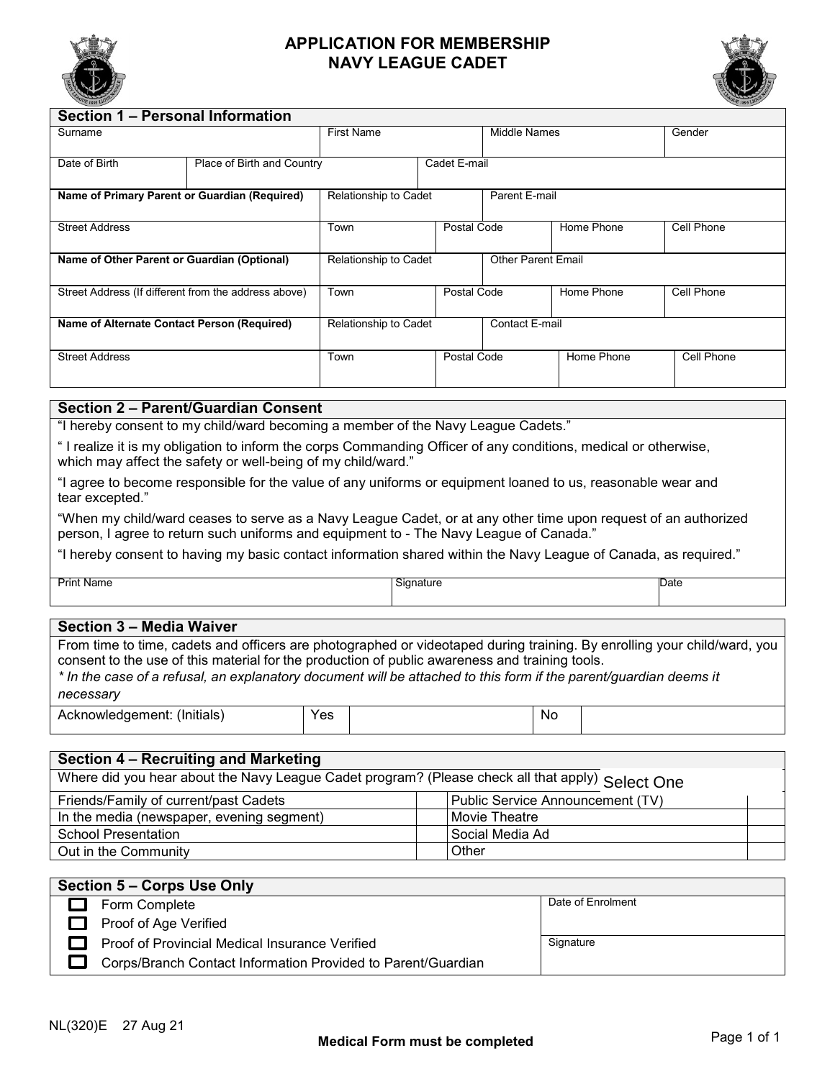

## **APPLICATION FOR MEMBERSHIP NAVY LEAGUE CADET**



| Section 1 – Personal Information                     |  |                       |             |                           |            |            |  |  |  |
|------------------------------------------------------|--|-----------------------|-------------|---------------------------|------------|------------|--|--|--|
| Surname                                              |  | <b>First Name</b>     |             | Middle Names              |            | Gender     |  |  |  |
|                                                      |  |                       |             |                           |            |            |  |  |  |
| Date of Birth<br>Place of Birth and Country          |  | Cadet E-mail          |             |                           |            |            |  |  |  |
|                                                      |  |                       |             |                           |            |            |  |  |  |
| Name of Primary Parent or Guardian (Required)        |  | Relationship to Cadet |             | Parent E-mail             |            |            |  |  |  |
|                                                      |  |                       |             |                           |            |            |  |  |  |
| <b>Street Address</b>                                |  | Town                  | Postal Code |                           | Home Phone | Cell Phone |  |  |  |
|                                                      |  |                       |             |                           |            |            |  |  |  |
| Name of Other Parent or Guardian (Optional)          |  | Relationship to Cadet |             | <b>Other Parent Email</b> |            |            |  |  |  |
|                                                      |  |                       |             |                           |            |            |  |  |  |
| Street Address (If different from the address above) |  | Town                  | Postal Code |                           | Home Phone | Cell Phone |  |  |  |
|                                                      |  |                       |             |                           |            |            |  |  |  |
| Name of Alternate Contact Person (Required)          |  | Relationship to Cadet |             | Contact E-mail            |            |            |  |  |  |
|                                                      |  |                       |             |                           |            |            |  |  |  |
| <b>Street Address</b>                                |  | Town                  |             | Postal Code<br>Home Phone |            | Cell Phone |  |  |  |
|                                                      |  |                       |             |                           |            |            |  |  |  |

### **Section 2 – Parent/Guardian Consent**

"I hereby consent to my child/ward becoming a member of the Navy League Cadets."

" I realize it is my obligation to inform the corps Commanding Officer of any conditions, medical or otherwise, which may affect the safety or well-being of my child/ward."

"I agree to become responsible for the value of any uniforms or equipment loaned to us, reasonable wear and tear excepted."

"When my child/ward ceases to serve as a Navy League Cadet, or at any other time upon request of an authorized person, I agree to return such uniforms and equipment to - The Navy League of Canada."

"I hereby consent to having my basic contact information shared within the Navy League of Canada, as required."

Print Name Signature Date

#### **Section 3 – Media Waiver**

From time to time, cadets and officers are photographed or videotaped during training. By enrolling your child/ward, you consent to the use of this material for the production of public awareness and training tools. \* In the case of a refusal, an explanatory document will be attached to this form if the parent/quardian deems it *necessary*

| .<br>(Initials<br>$m \wedge m \wedge m$ <sup>+</sup><br>owiedr<br>uent.<br>- - -<br>. . | ◡◠<br>ರು | N0 |  |
|-----------------------------------------------------------------------------------------|----------|----|--|

## **Section 4 – Recruiting and Marketing**

| Where did you hear about the Navy League Cadet program? (Please check all that apply) Select One |                                  |  |  |  |  |
|--------------------------------------------------------------------------------------------------|----------------------------------|--|--|--|--|
| Friends/Family of current/past Cadets                                                            | Public Service Announcement (TV) |  |  |  |  |
| In the media (newspaper, evening segment)                                                        | Movie Theatre                    |  |  |  |  |
| <b>School Presentation</b>                                                                       | l Social Media Ad                |  |  |  |  |
| Out in the Community                                                                             | Other                            |  |  |  |  |

| <b>Section 5 - Corps Use Only</b>                            |                   |  |  |  |  |
|--------------------------------------------------------------|-------------------|--|--|--|--|
| Form Complete                                                | Date of Enrolment |  |  |  |  |
| Proof of Age Verified                                        |                   |  |  |  |  |
| Proof of Provincial Medical Insurance Verified               | Signature         |  |  |  |  |
| Corps/Branch Contact Information Provided to Parent/Guardian |                   |  |  |  |  |